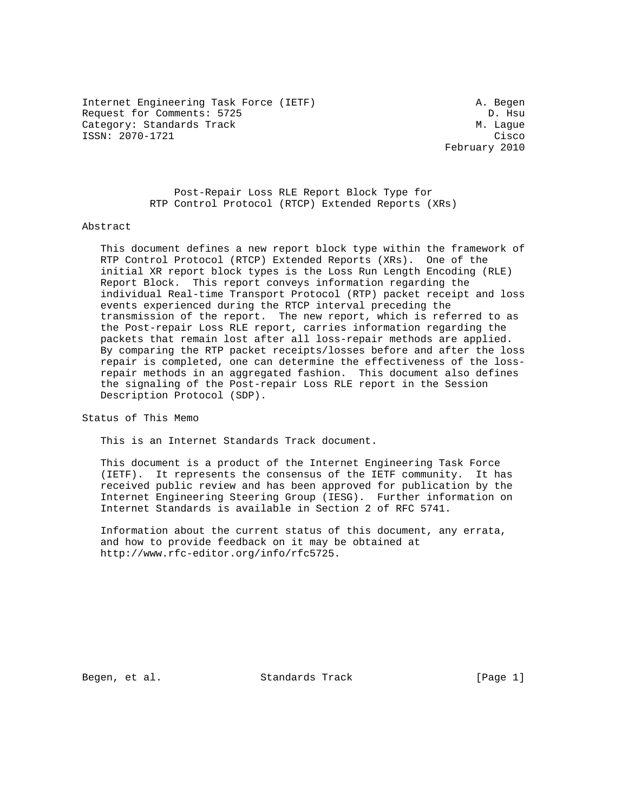Internet Engineering Task Force (IETF) A. Begen Request for Comments: 5725 D. Hsu Category: Standards Track Metal Category: M. Lague ISSN: 2070-1721 Cisco

February 2010

 Post-Repair Loss RLE Report Block Type for RTP Control Protocol (RTCP) Extended Reports (XRs)

#### Abstract

 This document defines a new report block type within the framework of RTP Control Protocol (RTCP) Extended Reports (XRs). One of the initial XR report block types is the Loss Run Length Encoding (RLE) Report Block. This report conveys information regarding the individual Real-time Transport Protocol (RTP) packet receipt and loss events experienced during the RTCP interval preceding the transmission of the report. The new report, which is referred to as the Post-repair Loss RLE report, carries information regarding the packets that remain lost after all loss-repair methods are applied. By comparing the RTP packet receipts/losses before and after the loss repair is completed, one can determine the effectiveness of the loss repair methods in an aggregated fashion. This document also defines the signaling of the Post-repair Loss RLE report in the Session Description Protocol (SDP).

Status of This Memo

This is an Internet Standards Track document.

 This document is a product of the Internet Engineering Task Force (IETF). It represents the consensus of the IETF community. It has received public review and has been approved for publication by the Internet Engineering Steering Group (IESG). Further information on Internet Standards is available in Section 2 of RFC 5741.

 Information about the current status of this document, any errata, and how to provide feedback on it may be obtained at http://www.rfc-editor.org/info/rfc5725.

Begen, et al. Standards Track [Page 1]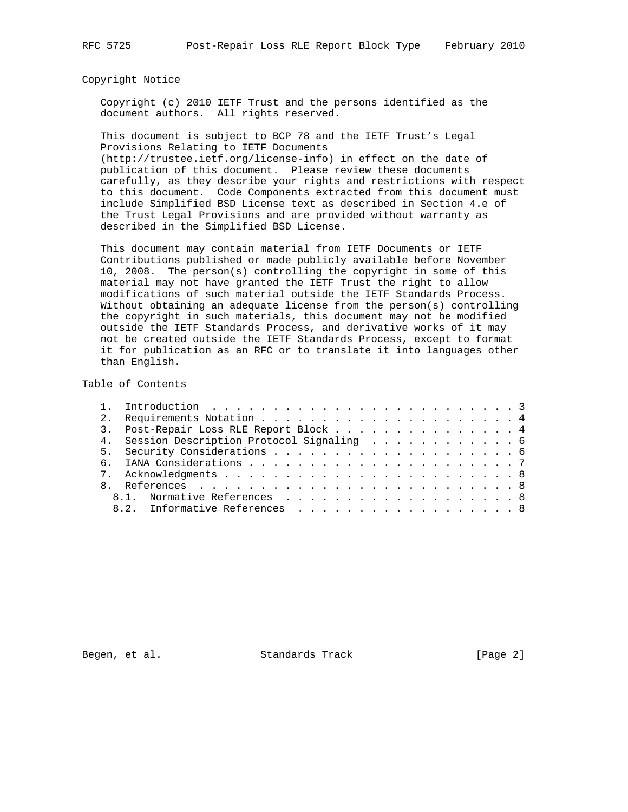#### Copyright Notice

 Copyright (c) 2010 IETF Trust and the persons identified as the document authors. All rights reserved.

 This document is subject to BCP 78 and the IETF Trust's Legal Provisions Relating to IETF Documents

 (http://trustee.ietf.org/license-info) in effect on the date of publication of this document. Please review these documents carefully, as they describe your rights and restrictions with respect to this document. Code Components extracted from this document must include Simplified BSD License text as described in Section 4.e of the Trust Legal Provisions and are provided without warranty as described in the Simplified BSD License.

 This document may contain material from IETF Documents or IETF Contributions published or made publicly available before November 10, 2008. The person(s) controlling the copyright in some of this material may not have granted the IETF Trust the right to allow modifications of such material outside the IETF Standards Process. Without obtaining an adequate license from the person(s) controlling the copyright in such materials, this document may not be modified outside the IETF Standards Process, and derivative works of it may not be created outside the IETF Standards Process, except to format it for publication as an RFC or to translate it into languages other than English.

## Table of Contents

| 3. Post-Repair Loss RLE Report Block 4      |
|---------------------------------------------|
| 4. Session Description Protocol Signaling 6 |
|                                             |
|                                             |
|                                             |
|                                             |
| 8.1. Normative References 8                 |
| 8.2. Informative References 8               |

Begen, et al. Standards Track [Page 2]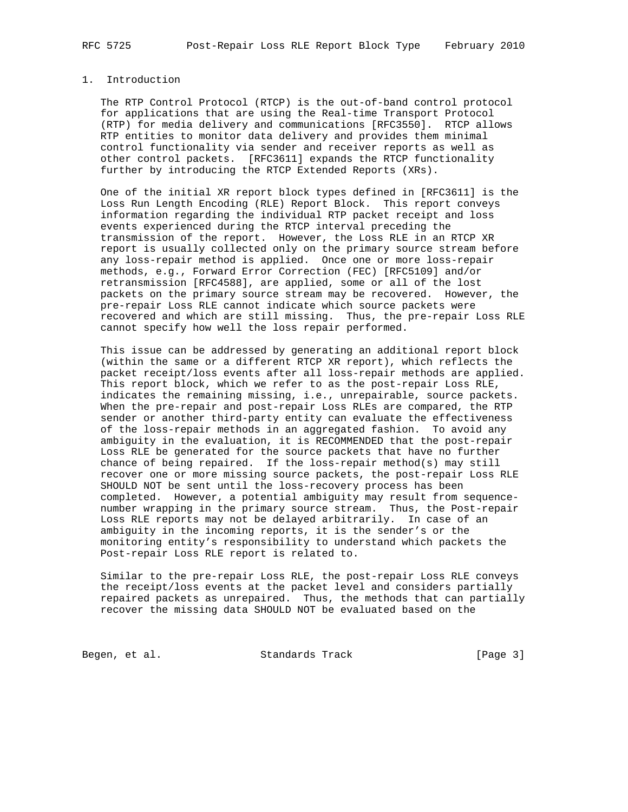# 1. Introduction

 The RTP Control Protocol (RTCP) is the out-of-band control protocol for applications that are using the Real-time Transport Protocol (RTP) for media delivery and communications [RFC3550]. RTCP allows RTP entities to monitor data delivery and provides them minimal control functionality via sender and receiver reports as well as other control packets. [RFC3611] expands the RTCP functionality further by introducing the RTCP Extended Reports (XRs).

 One of the initial XR report block types defined in [RFC3611] is the Loss Run Length Encoding (RLE) Report Block. This report conveys information regarding the individual RTP packet receipt and loss events experienced during the RTCP interval preceding the transmission of the report. However, the Loss RLE in an RTCP XR report is usually collected only on the primary source stream before any loss-repair method is applied. Once one or more loss-repair methods, e.g., Forward Error Correction (FEC) [RFC5109] and/or retransmission [RFC4588], are applied, some or all of the lost packets on the primary source stream may be recovered. However, the pre-repair Loss RLE cannot indicate which source packets were recovered and which are still missing. Thus, the pre-repair Loss RLE cannot specify how well the loss repair performed.

 This issue can be addressed by generating an additional report block (within the same or a different RTCP XR report), which reflects the packet receipt/loss events after all loss-repair methods are applied. This report block, which we refer to as the post-repair Loss RLE, indicates the remaining missing, i.e., unrepairable, source packets. When the pre-repair and post-repair Loss RLEs are compared, the RTP sender or another third-party entity can evaluate the effectiveness of the loss-repair methods in an aggregated fashion. To avoid any ambiguity in the evaluation, it is RECOMMENDED that the post-repair Loss RLE be generated for the source packets that have no further chance of being repaired. If the loss-repair method(s) may still recover one or more missing source packets, the post-repair Loss RLE SHOULD NOT be sent until the loss-recovery process has been completed. However, a potential ambiguity may result from sequence number wrapping in the primary source stream. Thus, the Post-repair Loss RLE reports may not be delayed arbitrarily. In case of an ambiguity in the incoming reports, it is the sender's or the monitoring entity's responsibility to understand which packets the Post-repair Loss RLE report is related to.

 Similar to the pre-repair Loss RLE, the post-repair Loss RLE conveys the receipt/loss events at the packet level and considers partially repaired packets as unrepaired. Thus, the methods that can partially recover the missing data SHOULD NOT be evaluated based on the

Begen, et al. Standards Track [Page 3]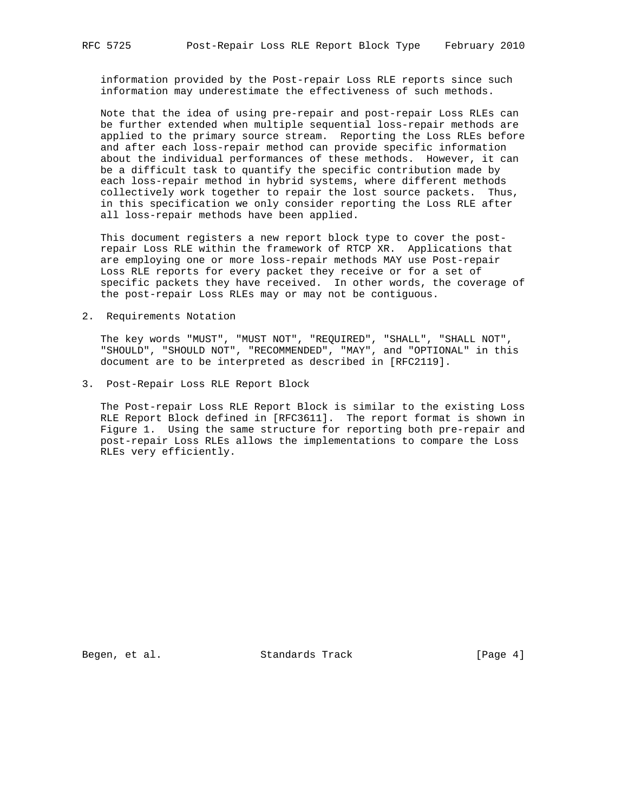information provided by the Post-repair Loss RLE reports since such information may underestimate the effectiveness of such methods.

 Note that the idea of using pre-repair and post-repair Loss RLEs can be further extended when multiple sequential loss-repair methods are applied to the primary source stream. Reporting the Loss RLEs before and after each loss-repair method can provide specific information about the individual performances of these methods. However, it can be a difficult task to quantify the specific contribution made by each loss-repair method in hybrid systems, where different methods collectively work together to repair the lost source packets. Thus, in this specification we only consider reporting the Loss RLE after all loss-repair methods have been applied.

 This document registers a new report block type to cover the post repair Loss RLE within the framework of RTCP XR. Applications that are employing one or more loss-repair methods MAY use Post-repair Loss RLE reports for every packet they receive or for a set of specific packets they have received. In other words, the coverage of the post-repair Loss RLEs may or may not be contiguous.

2. Requirements Notation

 The key words "MUST", "MUST NOT", "REQUIRED", "SHALL", "SHALL NOT", "SHOULD", "SHOULD NOT", "RECOMMENDED", "MAY", and "OPTIONAL" in this document are to be interpreted as described in [RFC2119].

3. Post-Repair Loss RLE Report Block

 The Post-repair Loss RLE Report Block is similar to the existing Loss RLE Report Block defined in [RFC3611]. The report format is shown in Figure 1. Using the same structure for reporting both pre-repair and post-repair Loss RLEs allows the implementations to compare the Loss RLEs very efficiently.

Begen, et al. Standards Track [Page 4]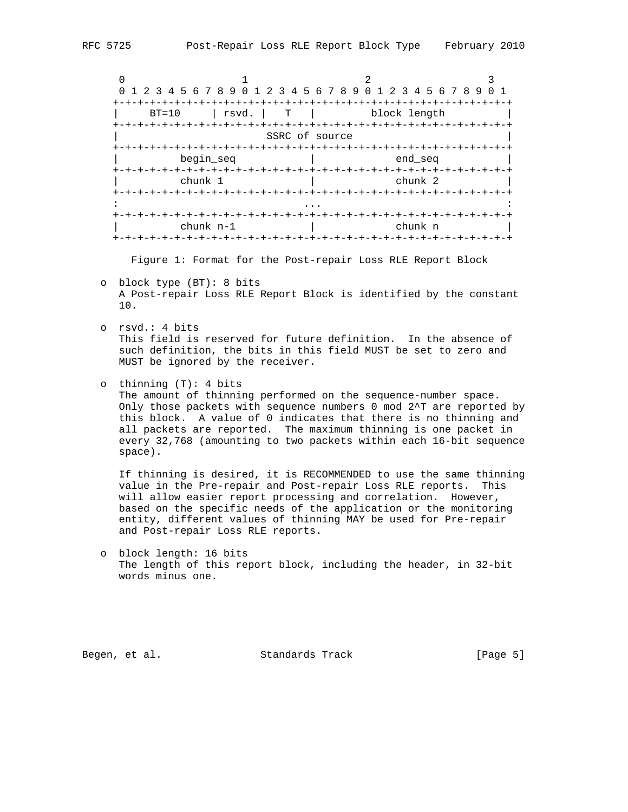$0$  and  $1$  and  $2$  3 0 1 2 3 4 5 6 7 8 9 0 1 2 3 4 5 6 7 8 9 0 1 2 3 4 5 6 7 8 9 0 1 +-+-+-+-+-+-+-+-+-+-+-+-+-+-+-+-+-+-+-+-+-+-+-+-+-+-+-+-+-+-+-+-+ | BT=10 | rsvd. | T | block length | +-+-+-+-+-+-+-+-+-+-+-+-+-+-+-+-+-+-+-+-+-+-+-+-+-+-+-+-+-+-+-+-+ SSRC of source +-+-+-+-+-+-+-+-+-+-+-+-+-+-+-+-+-+-+-+-+-+-+-+-+-+-+-+-+-+-+-+-+ | begin\_seq | end\_seq +-+-+-+-+-+-+-+-+-+-+-+-+-+-+-+-+-+-+-+-+-+-+-+-+-+-+-+-+-+-+-+-+ | chunk 1 | chunk 2 | +-+-+-+-+-+-+-+-+-+-+-+-+-+-+-+-+-+-+-+-+-+-+-+-+-+-+-+-+-+-+-+-+ : ... : +-+-+-+-+-+-+-+-+-+-+-+-+-+-+-+-+-+-+-+-+-+-+-+-+-+-+-+-+-+-+-+-+ | chunk n-1 | chunk n | +-+-+-+-+-+-+-+-+-+-+-+-+-+-+-+-+-+-+-+-+-+-+-+-+-+-+-+-+-+-+-+-+

Figure 1: Format for the Post-repair Loss RLE Report Block

- o block type (BT): 8 bits A Post-repair Loss RLE Report Block is identified by the constant 10.
- o rsvd.: 4 bits This field is reserved for future definition. In the absence of such definition, the bits in this field MUST be set to zero and MUST be ignored by the receiver.
- o thinning (T): 4 bits The amount of thinning performed on the sequence-number space. Only those packets with sequence numbers 0 mod 2^T are reported by this block. A value of 0 indicates that there is no thinning and all packets are reported. The maximum thinning is one packet in every 32,768 (amounting to two packets within each 16-bit sequence space).

 If thinning is desired, it is RECOMMENDED to use the same thinning value in the Pre-repair and Post-repair Loss RLE reports. This will allow easier report processing and correlation. However, based on the specific needs of the application or the monitoring entity, different values of thinning MAY be used for Pre-repair and Post-repair Loss RLE reports.

 o block length: 16 bits The length of this report block, including the header, in 32-bit words minus one.

Begen, et al. Standards Track (Page 5)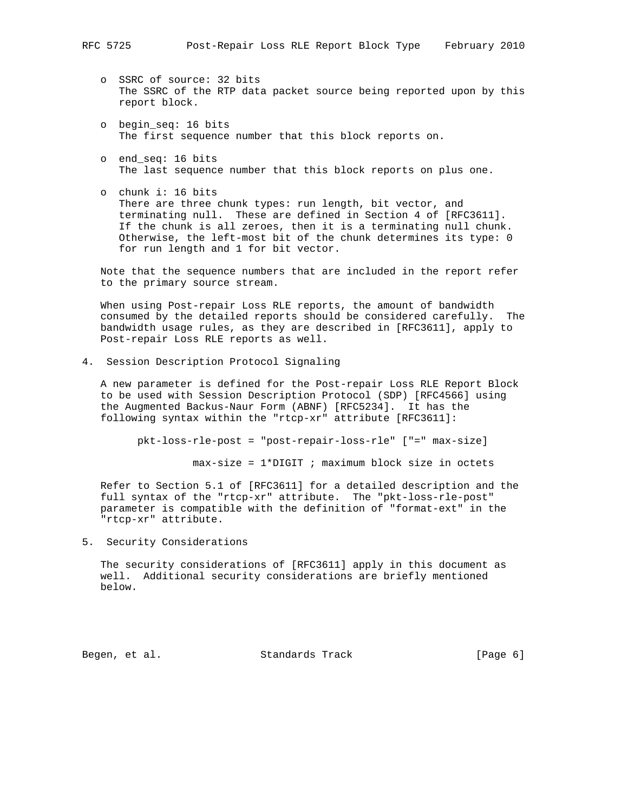- o SSRC of source: 32 bits The SSRC of the RTP data packet source being reported upon by this report block.
- o begin\_seq: 16 bits The first sequence number that this block reports on.
- o end\_seq: 16 bits The last sequence number that this block reports on plus one.
- o chunk i: 16 bits There are three chunk types: run length, bit vector, and terminating null. These are defined in Section 4 of [RFC3611]. If the chunk is all zeroes, then it is a terminating null chunk. Otherwise, the left-most bit of the chunk determines its type: 0 for run length and 1 for bit vector.

 Note that the sequence numbers that are included in the report refer to the primary source stream.

 When using Post-repair Loss RLE reports, the amount of bandwidth consumed by the detailed reports should be considered carefully. The bandwidth usage rules, as they are described in [RFC3611], apply to Post-repair Loss RLE reports as well.

4. Session Description Protocol Signaling

 A new parameter is defined for the Post-repair Loss RLE Report Block to be used with Session Description Protocol (SDP) [RFC4566] using the Augmented Backus-Naur Form (ABNF) [RFC5234]. It has the following syntax within the "rtcp-xr" attribute [RFC3611]:

pkt-loss-rle-post = "post-repair-loss-rle" ["=" max-size]

 $max-size = 1*DiffIT$  ; maximum block size in octets

 Refer to Section 5.1 of [RFC3611] for a detailed description and the full syntax of the "rtcp-xr" attribute. The "pkt-loss-rle-post" parameter is compatible with the definition of "format-ext" in the "rtcp-xr" attribute.

5. Security Considerations

 The security considerations of [RFC3611] apply in this document as well. Additional security considerations are briefly mentioned below.

Begen, et al. Standards Track [Page 6]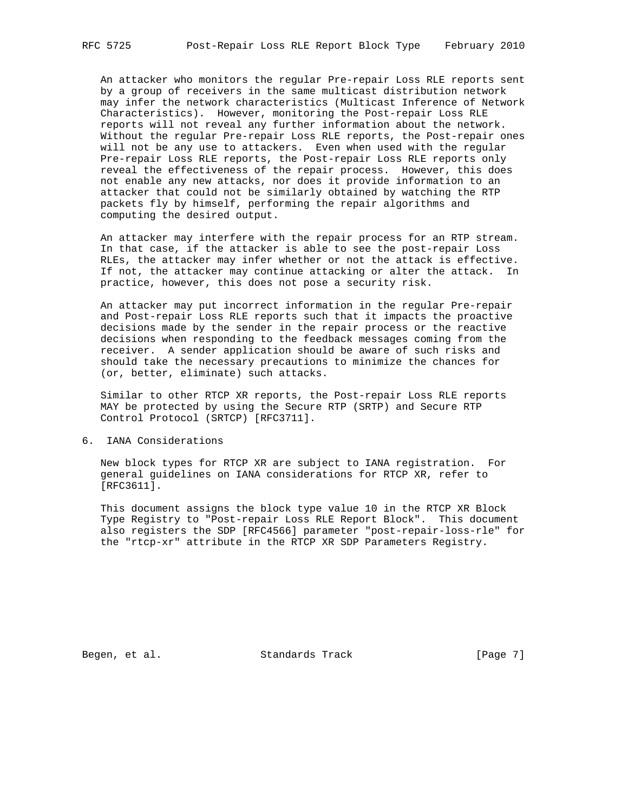An attacker who monitors the regular Pre-repair Loss RLE reports sent by a group of receivers in the same multicast distribution network may infer the network characteristics (Multicast Inference of Network Characteristics). However, monitoring the Post-repair Loss RLE reports will not reveal any further information about the network. Without the regular Pre-repair Loss RLE reports, the Post-repair ones will not be any use to attackers. Even when used with the regular Pre-repair Loss RLE reports, the Post-repair Loss RLE reports only reveal the effectiveness of the repair process. However, this does not enable any new attacks, nor does it provide information to an attacker that could not be similarly obtained by watching the RTP packets fly by himself, performing the repair algorithms and computing the desired output.

 An attacker may interfere with the repair process for an RTP stream. In that case, if the attacker is able to see the post-repair Loss RLEs, the attacker may infer whether or not the attack is effective. If not, the attacker may continue attacking or alter the attack. In practice, however, this does not pose a security risk.

 An attacker may put incorrect information in the regular Pre-repair and Post-repair Loss RLE reports such that it impacts the proactive decisions made by the sender in the repair process or the reactive decisions when responding to the feedback messages coming from the receiver. A sender application should be aware of such risks and should take the necessary precautions to minimize the chances for (or, better, eliminate) such attacks.

 Similar to other RTCP XR reports, the Post-repair Loss RLE reports MAY be protected by using the Secure RTP (SRTP) and Secure RTP Control Protocol (SRTCP) [RFC3711].

## 6. IANA Considerations

 New block types for RTCP XR are subject to IANA registration. For general guidelines on IANA considerations for RTCP XR, refer to [RFC3611].

 This document assigns the block type value 10 in the RTCP XR Block Type Registry to "Post-repair Loss RLE Report Block". This document also registers the SDP [RFC4566] parameter "post-repair-loss-rle" for the "rtcp-xr" attribute in the RTCP XR SDP Parameters Registry.

Begen, et al. Standards Track [Page 7]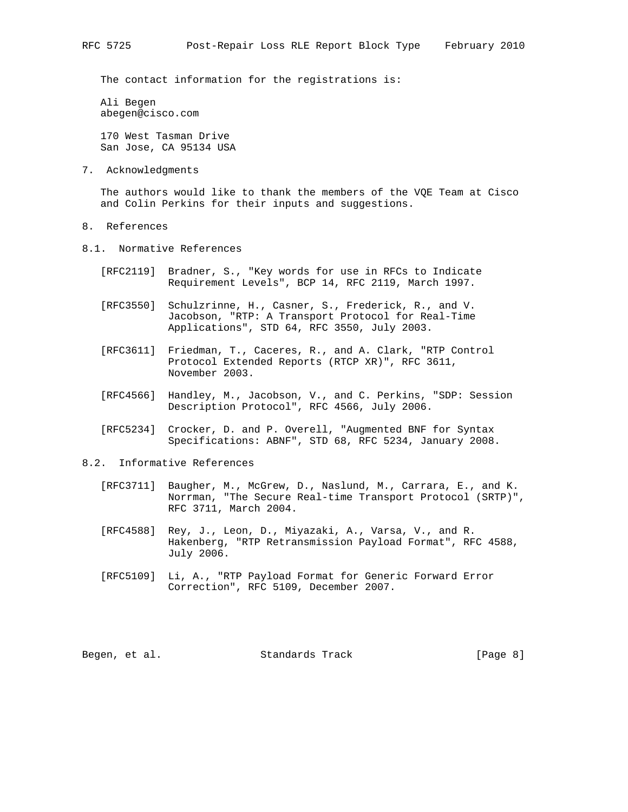The contact information for the registrations is:

 Ali Begen abegen@cisco.com

 170 West Tasman Drive San Jose, CA 95134 USA

7. Acknowledgments

 The authors would like to thank the members of the VQE Team at Cisco and Colin Perkins for their inputs and suggestions.

- 8. References
- 8.1. Normative References
	- [RFC2119] Bradner, S., "Key words for use in RFCs to Indicate Requirement Levels", BCP 14, RFC 2119, March 1997.
	- [RFC3550] Schulzrinne, H., Casner, S., Frederick, R., and V. Jacobson, "RTP: A Transport Protocol for Real-Time Applications", STD 64, RFC 3550, July 2003.
	- [RFC3611] Friedman, T., Caceres, R., and A. Clark, "RTP Control Protocol Extended Reports (RTCP XR)", RFC 3611, November 2003.
	- [RFC4566] Handley, M., Jacobson, V., and C. Perkins, "SDP: Session Description Protocol", RFC 4566, July 2006.
	- [RFC5234] Crocker, D. and P. Overell, "Augmented BNF for Syntax Specifications: ABNF", STD 68, RFC 5234, January 2008.
- 8.2. Informative References
	- [RFC3711] Baugher, M., McGrew, D., Naslund, M., Carrara, E., and K. Norrman, "The Secure Real-time Transport Protocol (SRTP)", RFC 3711, March 2004.
	- [RFC4588] Rey, J., Leon, D., Miyazaki, A., Varsa, V., and R. Hakenberg, "RTP Retransmission Payload Format", RFC 4588, July 2006.
	- [RFC5109] Li, A., "RTP Payload Format for Generic Forward Error Correction", RFC 5109, December 2007.

Begen, et al. Standards Track [Page 8]